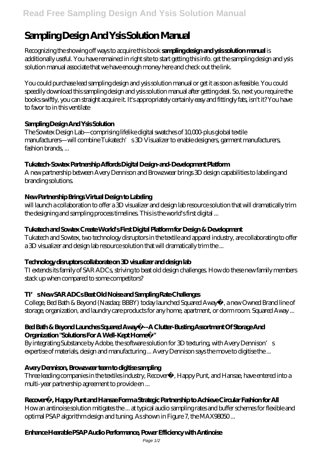# **Sampling Design And Ysis Solution Manual**

Recognizing the showing off ways to acquire this book **sampling design and ysis solution manual** is additionally useful. You have remained in right site to start getting this info. get the sampling design and ysis solution manual associate that we have enough money here and check out the link.

You could purchase lead sampling design and ysis solution manual or get it as soon as feasible. You could speedily download this sampling design and ysis solution manual after getting deal. So, next you require the books swiftly, you can straight acquire it. It's appropriately certainly easy and fittingly fats, isn't it? You have to favor to in this ventilate

## **Sampling Design And Ysis Solution**

The Sowtex Design Lab—comprising lifelike digital swatches of 10,000-plus global textile manufacturers—will combine Tukatech's 3D Visualizer to enable designers, garment manufacturers, fashion brands ...

## **Tukatech-Sowtex Partnership Affords Digital Design-and-Development Platform**

A new partnership between Avery Dennison and Browzwear brings 3D design capabilities to labeling and branding solutions.

## **New Partnership Brings Virtual Design to Labeling**

will launch a collaboration to offer a 3D visualizer and design lab resource solution that will dramatically trim the designing and sampling process timelines. This is the world's first digital ...

## **Tukatech and Sowtex Create World's First Digital Platform for Design & Development**

Tukatech and Sowtex, two technology disruptors in the textile and apparel industry, are collaborating to offer a 3D visualizer and design lab resource solution that will dramatically trim the ...

## **Technology disruptors collaborate on 3D visualizer and design lab**

TI extends its family of SAR ADCs, striving to beat old design challenges. How do these new family members stack up when compared to some competitors?

## **TI's New SAR ADCs Beat Old Noise and Sampling Rate Challenges**

College, Bed Bath & Beyond (Nasdaq: BBBY) today launched Squared Away™, a new Owned Brand line of storage, organization, and laundry care products for any home, apartment, or dorm room. Squared Away ...

#### **Bed Bath & Beyond Launches Squared Away™--A Clutter-Busting Assortment Of Storage And Organization "Solutions For A Well-Kept Home™"**

By integrating Substance by Adobe, the software solution for 3D texturing, with Avery Dennison's expertise of materials, design and manufacturing ... Avery Dennison says the move to digitise the ...

## **Avery Dennison, Browzwear team to digitise sampling**

Three leading companies in the textiles industry, Recover™, Happy Punt, and Hansae, have entered into a multi-year partnership agreement to provide en ...

## **Recover™, Happy Punt and Hansae Form a Strategic Partnership to Achieve Circular Fashion for All**

How an antinoise solution mitigates the ... at typical audio sampling rates and buffer schemes for flexible and optimal PSAP algorithm design and tuning. As shown in Figure 7, the MAX98050 ...

## **Enhance Hearable PSAP Audio Performance, Power Efficiency with Antinoise**